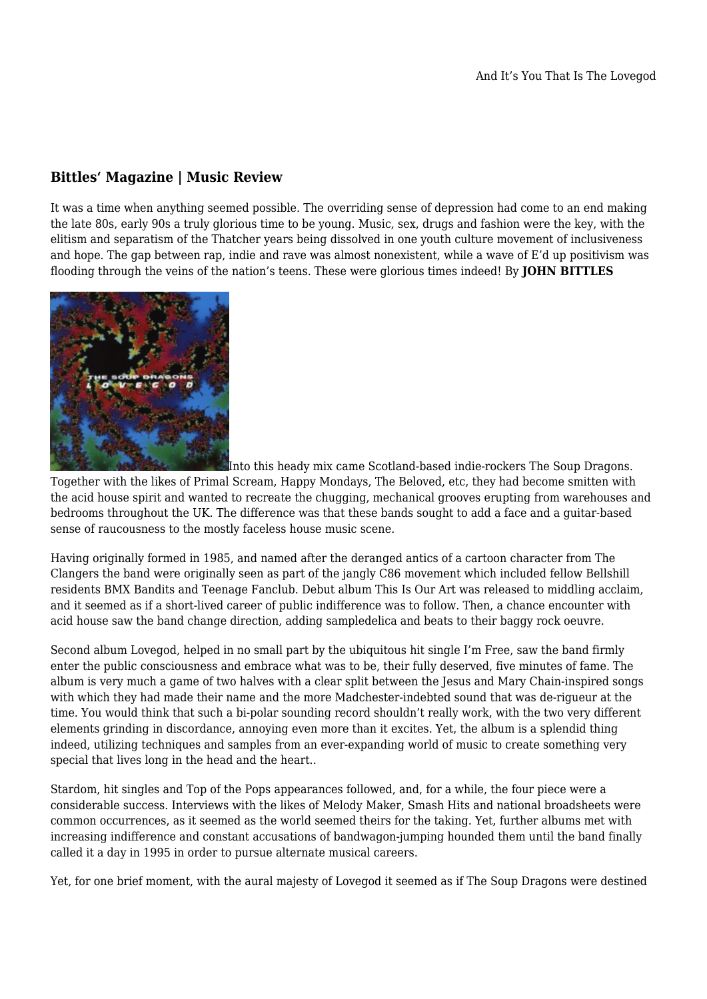## **Bittles' Magazine | Music Review**

It was a time when anything seemed possible. The overriding sense of depression had come to an end making the late 80s, early 90s a truly glorious time to be young. Music, sex, drugs and fashion were the key, with the elitism and separatism of the Thatcher years being dissolved in one youth culture movement of inclusiveness and hope. The gap between rap, indie and rave was almost nonexistent, while a wave of E'd up positivism was flooding through the veins of the nation's teens. These were glorious times indeed! By **JOHN BITTLES**



[I](https://titel-kulturmagazin.net/wp-content/uploads/soupdragons.jpg)nto this heady mix came Scotland-based indie-rockers The Soup Dragons.

Together with the likes of Primal Scream, Happy Mondays, The Beloved, etc, they had become smitten with the acid house spirit and wanted to recreate the chugging, mechanical grooves erupting from warehouses and bedrooms throughout the UK. The difference was that these bands sought to add a face and a guitar-based sense of raucousness to the mostly faceless house music scene.

Having originally formed in 1985, and named after the deranged antics of a cartoon character from The Clangers the band were originally seen as part of the jangly C86 movement which included fellow Bellshill residents BMX Bandits and Teenage Fanclub. Debut album This Is Our Art was released to middling acclaim, and it seemed as if a short-lived career of public indifference was to follow. Then, a chance encounter with acid house saw the band change direction, adding sampledelica and beats to their baggy rock oeuvre.

Second album Lovegod, helped in no small part by the ubiquitous hit single I'm Free, saw the band firmly enter the public consciousness and embrace what was to be, their fully deserved, five minutes of fame. The album is very much a game of two halves with a clear split between the Jesus and Mary Chain-inspired songs with which they had made their name and the more Madchester-indebted sound that was de-rigueur at the time. You would think that such a bi-polar sounding record shouldn't really work, with the two very different elements grinding in discordance, annoying even more than it excites. Yet, the album is a splendid thing indeed, utilizing techniques and samples from an ever-expanding world of music to create something very special that lives long in the head and the heart..

Stardom, hit singles and Top of the Pops appearances followed, and, for a while, the four piece were a considerable success. Interviews with the likes of Melody Maker, Smash Hits and national broadsheets were common occurrences, as it seemed as the world seemed theirs for the taking. Yet, further albums met with increasing indifference and constant accusations of bandwagon-jumping hounded them until the band finally called it a day in 1995 in order to pursue alternate musical careers.

Yet, for one brief moment, with the aural majesty of Lovegod it seemed as if The Soup Dragons were destined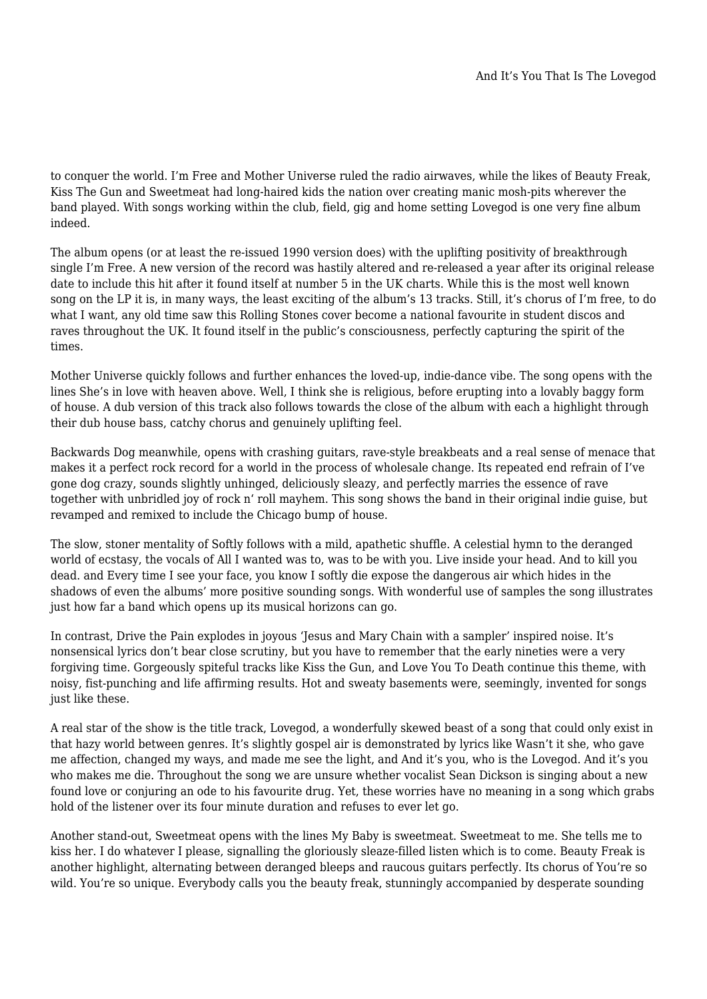to conquer the world. I'm Free and Mother Universe ruled the radio airwaves, while the likes of Beauty Freak, Kiss The Gun and Sweetmeat had long-haired kids the nation over creating manic mosh-pits wherever the band played. With songs working within the club, field, gig and home setting Lovegod is one very fine album indeed.

The album opens (or at least the re-issued 1990 version does) with the uplifting positivity of breakthrough single I'm Free. A new version of the record was hastily altered and re-released a year after its original release date to include this hit after it found itself at number 5 in the UK charts. While this is the most well known song on the LP it is, in many ways, the least exciting of the album's 13 tracks. Still, it's chorus of I'm free, to do what I want, any old time saw this Rolling Stones cover become a national favourite in student discos and raves throughout the UK. It found itself in the public's consciousness, perfectly capturing the spirit of the times.

Mother Universe quickly follows and further enhances the loved-up, indie-dance vibe. The song opens with the lines She's in love with heaven above. Well, I think she is religious, before erupting into a lovably baggy form of house. A dub version of this track also follows towards the close of the album with each a highlight through their dub house bass, catchy chorus and genuinely uplifting feel.

Backwards Dog meanwhile, opens with crashing guitars, rave-style breakbeats and a real sense of menace that makes it a perfect rock record for a world in the process of wholesale change. Its repeated end refrain of I've gone dog crazy, sounds slightly unhinged, deliciously sleazy, and perfectly marries the essence of rave together with unbridled joy of rock n' roll mayhem. This song shows the band in their original indie guise, but revamped and remixed to include the Chicago bump of house.

The slow, stoner mentality of Softly follows with a mild, apathetic shuffle. A celestial hymn to the deranged world of ecstasy, the vocals of All I wanted was to, was to be with you. Live inside your head. And to kill you dead. and Every time I see your face, you know I softly die expose the dangerous air which hides in the shadows of even the albums' more positive sounding songs. With wonderful use of samples the song illustrates just how far a band which opens up its musical horizons can go.

In contrast, Drive the Pain explodes in joyous 'Jesus and Mary Chain with a sampler' inspired noise. It's nonsensical lyrics don't bear close scrutiny, but you have to remember that the early nineties were a very forgiving time. Gorgeously spiteful tracks like Kiss the Gun, and Love You To Death continue this theme, with noisy, fist-punching and life affirming results. Hot and sweaty basements were, seemingly, invented for songs just like these.

A real star of the show is the title track, Lovegod, a wonderfully skewed beast of a song that could only exist in that hazy world between genres. It's slightly gospel air is demonstrated by lyrics like Wasn't it she, who gave me affection, changed my ways, and made me see the light, and And it's you, who is the Lovegod. And it's you who makes me die. Throughout the song we are unsure whether vocalist Sean Dickson is singing about a new found love or conjuring an ode to his favourite drug. Yet, these worries have no meaning in a song which grabs hold of the listener over its four minute duration and refuses to ever let go.

Another stand-out, Sweetmeat opens with the lines My Baby is sweetmeat. Sweetmeat to me. She tells me to kiss her. I do whatever I please, signalling the gloriously sleaze-filled listen which is to come. Beauty Freak is another highlight, alternating between deranged bleeps and raucous guitars perfectly. Its chorus of You're so wild. You're so unique. Everybody calls you the beauty freak, stunningly accompanied by desperate sounding